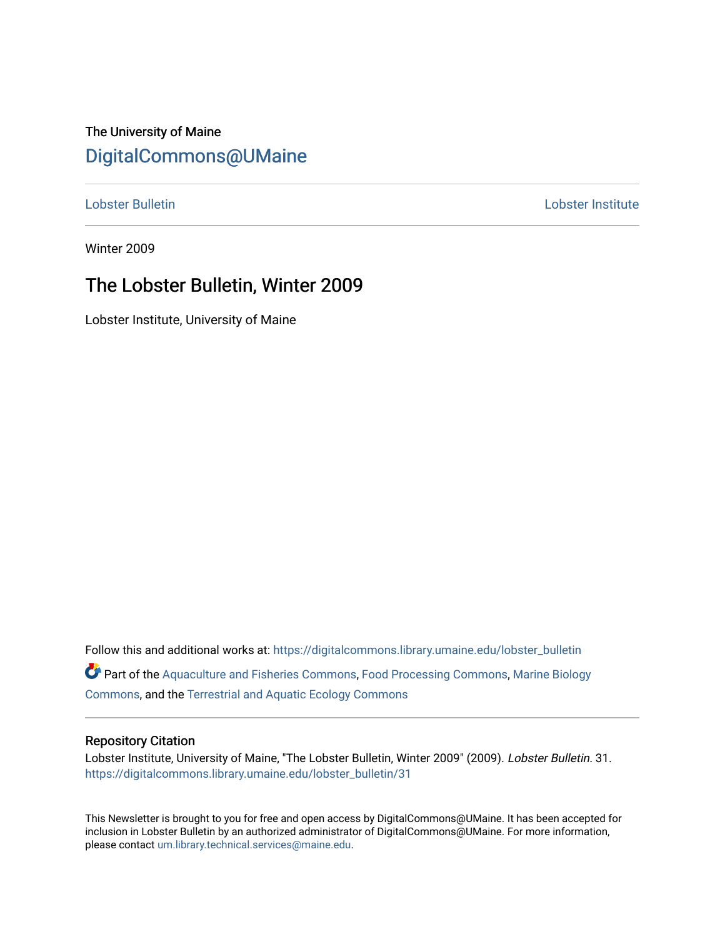## The University of Maine [DigitalCommons@UMaine](https://digitalcommons.library.umaine.edu/)

[Lobster Bulletin](https://digitalcommons.library.umaine.edu/lobster_bulletin) [Lobster Institute](https://digitalcommons.library.umaine.edu/lobster) 

Winter 2009

## The Lobster Bulletin, Winter 2009

Lobster Institute, University of Maine

Follow this and additional works at: [https://digitalcommons.library.umaine.edu/lobster\\_bulletin](https://digitalcommons.library.umaine.edu/lobster_bulletin?utm_source=digitalcommons.library.umaine.edu%2Flobster_bulletin%2F31&utm_medium=PDF&utm_campaign=PDFCoverPages) Part of the [Aquaculture and Fisheries Commons](http://network.bepress.com/hgg/discipline/78?utm_source=digitalcommons.library.umaine.edu%2Flobster_bulletin%2F31&utm_medium=PDF&utm_campaign=PDFCoverPages), [Food Processing Commons,](http://network.bepress.com/hgg/discipline/85?utm_source=digitalcommons.library.umaine.edu%2Flobster_bulletin%2F31&utm_medium=PDF&utm_campaign=PDFCoverPages) [Marine Biology](http://network.bepress.com/hgg/discipline/1126?utm_source=digitalcommons.library.umaine.edu%2Flobster_bulletin%2F31&utm_medium=PDF&utm_campaign=PDFCoverPages) [Commons](http://network.bepress.com/hgg/discipline/1126?utm_source=digitalcommons.library.umaine.edu%2Flobster_bulletin%2F31&utm_medium=PDF&utm_campaign=PDFCoverPages), and the [Terrestrial and Aquatic Ecology Commons](http://network.bepress.com/hgg/discipline/20?utm_source=digitalcommons.library.umaine.edu%2Flobster_bulletin%2F31&utm_medium=PDF&utm_campaign=PDFCoverPages) 

### Repository Citation

Lobster Institute, University of Maine, "The Lobster Bulletin, Winter 2009" (2009). Lobster Bulletin. 31. [https://digitalcommons.library.umaine.edu/lobster\\_bulletin/31](https://digitalcommons.library.umaine.edu/lobster_bulletin/31?utm_source=digitalcommons.library.umaine.edu%2Flobster_bulletin%2F31&utm_medium=PDF&utm_campaign=PDFCoverPages) 

This Newsletter is brought to you for free and open access by DigitalCommons@UMaine. It has been accepted for inclusion in Lobster Bulletin by an authorized administrator of DigitalCommons@UMaine. For more information, please contact [um.library.technical.services@maine.edu.](mailto:um.library.technical.services@maine.edu)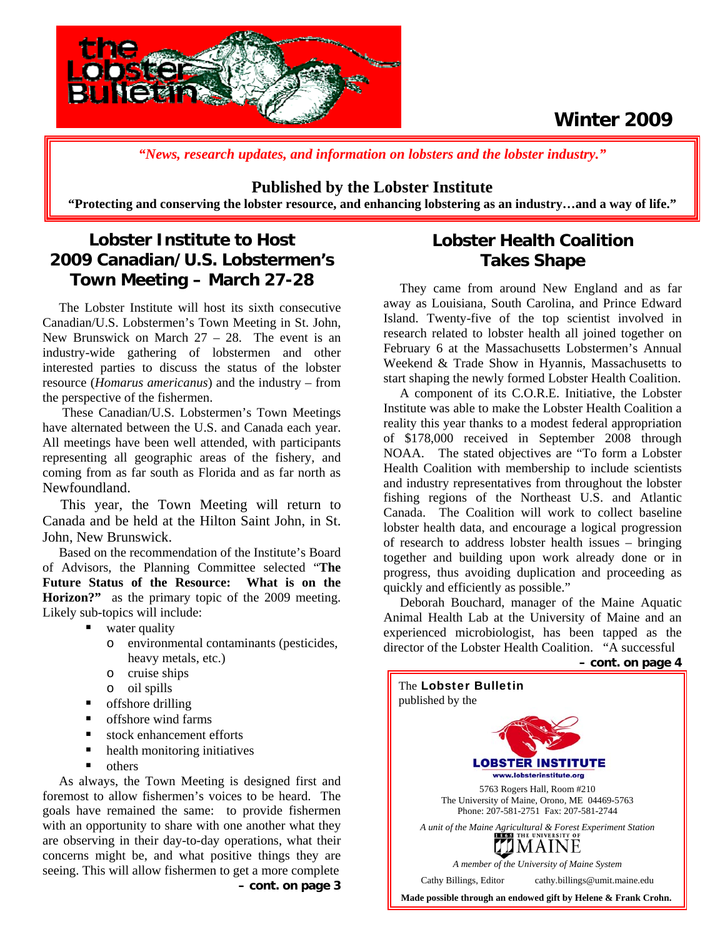



*"News, research updates, and information on lobsters and the lobster industry."*

### **Published by the Lobster Institute**

**"Protecting and conserving the lobster resource, and enhancing lobstering as an industry…and a way of life."** 

## **Lobster Institute to Host 2009 Canadian/U.S. Lobstermen's Town Meeting – March 27-28**

 The Lobster Institute will host its sixth consecutive Canadian/U.S. Lobstermen's Town Meeting in St. John, New Brunswick on March  $27 - 28$ . The event is an industry-wide gathering of lobstermen and other interested parties to discuss the status of the lobster resource (*Homarus americanus*) and the industry – from the perspective of the fishermen.

 These Canadian/U.S. Lobstermen's Town Meetings have alternated between the U.S. and Canada each year. All meetings have been well attended, with participants representing all geographic areas of the fishery, and coming from as far south as Florida and as far north as Newfoundland.

 This year, the Town Meeting will return to Canada and be held at the Hilton Saint John, in St. John, New Brunswick.

 Based on the recommendation of the Institute's Board of Advisors, the Planning Committee selected "**The Future Status of the Resource: What is on the Horizon?"** as the primary topic of the 2009 meeting. Likely sub-topics will include:

- water quality
	- o environmental contaminants (pesticides, heavy metals, etc.)
	- o cruise ships
	- o oil spills
- offshore drilling
- offshore wind farms
- stock enhancement efforts
- health monitoring initiatives
- others

As always, the Town Meeting is designed first and foremost to allow fishermen's voices to be heard. The goals have remained the same: to provide fishermen with an opportunity to share with one another what they are observing in their day-to-day operations, what their concerns might be, and what positive things they are seeing. This will allow fishermen to get a more complete **– cont. on page 3** 

## **Lobster Health Coalition Takes Shape**

 They came from around New England and as far away as Louisiana, South Carolina, and Prince Edward Island. Twenty-five of the top scientist involved in research related to lobster health all joined together on February 6 at the Massachusetts Lobstermen's Annual Weekend & Trade Show in Hyannis, Massachusetts to start shaping the newly formed Lobster Health Coalition.

 A component of its C.O.R.E. Initiative, the Lobster Institute was able to make the Lobster Health Coalition a reality this year thanks to a modest federal appropriation of \$178,000 received in September 2008 through NOAA. The stated objectives are "To form a Lobster Health Coalition with membership to include scientists and industry representatives from throughout the lobster fishing regions of the Northeast U.S. and Atlantic Canada. The Coalition will work to collect baseline lobster health data, and encourage a logical progression of research to address lobster health issues – bringing together and building upon work already done or in progress, thus avoiding duplication and proceeding as quickly and efficiently as possible."

 Deborah Bouchard, manager of the Maine Aquatic Animal Health Lab at the University of Maine and an experienced microbiologist, has been tapped as the director of the Lobster Health Coalition. "A successful

**– cont. on page 4**

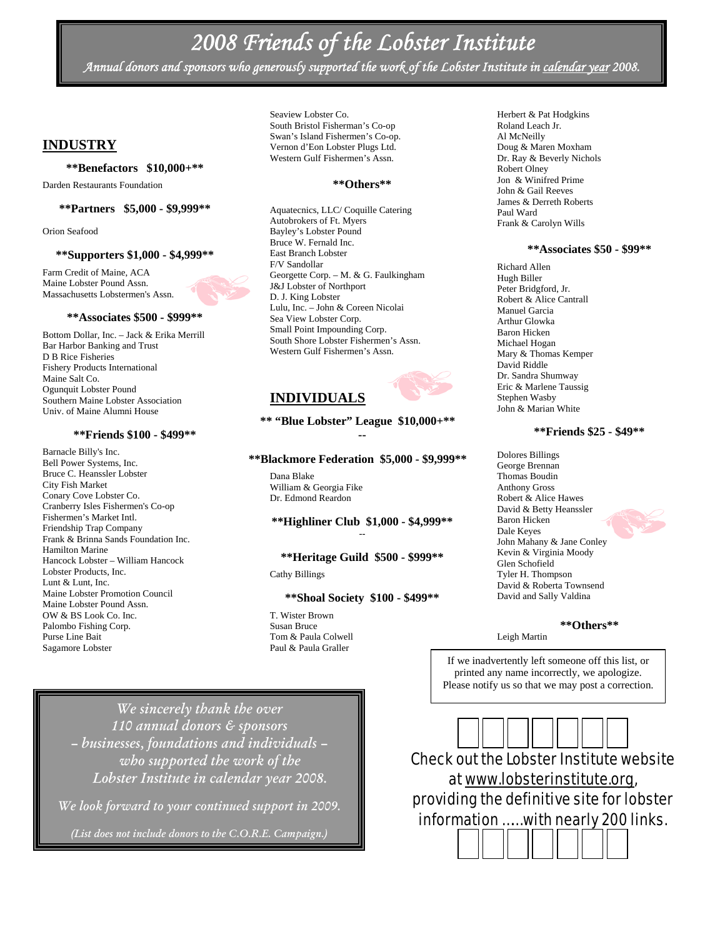# *2008 Friends of the Lobster Institute*

*Annual donors and sponsors who generously supported the work of the Lobster Institute in calendar year 2008.* 

### **INDUSTRY**

#### **\*\*Benefactors \$10,000+\*\***

Darden Restaurants Foundation

### **\*\*Partners \$5,000 - \$9,999\*\***

Orion Seafood

#### **\*\*Supporters \$1,000 - \$4,999\*\***

Farm Credit of Maine, ACA Maine Lobster Pound Assn. Massachusetts Lobstermen's Assn.

#### **\*\*Associates \$500 - \$999\*\***

Bottom Dollar, Inc. – Jack & Erika Merrill Bar Harbor Banking and Trust D B Rice Fisheries Fishery Products International Maine Salt Co. Ogunquit Lobster Pound Southern Maine Lobster Association Univ. of Maine Alumni House

### **\*\*Friends \$100 - \$499\*\***

Barnacle Billy's Inc. Bell Power Systems, Inc. Bruce C. Heanssler Lobster City Fish Market Conary Cove Lobster Co. Cranberry Isles Fishermen's Co-op Fishermen's Market Intl. Friendship Trap Company Frank & Brinna Sands Foundation Inc. Hamilton Marine Hancock Lobster – William Hancock Lobster Products, Inc. Lunt & Lunt, Inc. Maine Lobster Promotion Council Maine Lobster Pound Assn. OW & BS Look Co. Inc. Palombo Fishing Corp. Purse Line Bait Sagamore Lobster

Seaview Lobster Co. South Bristol Fisherman's Co-op Swan's Island Fishermen's Co-op. Vernon d'Eon Lobster Plugs Ltd. Western Gulf Fishermen's Assn.

#### **\*\*Others\*\***

Aquatecnics, LLC/ Coquille Catering Autobrokers of Ft. Myers Bayley's Lobster Pound Bruce W. Fernald Inc. East Branch Lobster F/V Sandollar Georgette Corp. – M. & G. Faulkingham J&J Lobster of Northport D. J. King Lobster Lulu, Inc. – John & Coreen Nicolai Sea View Lobster Corp. Small Point Impounding Corp. South Shore Lobster Fishermen's Assn. Western Gulf Fishermen's Assn.

### **INDIVIDUALS**

**\*\* "Blue Lobster" League \$10,000+\*\* --** 

#### **\*\*Blackmore Federation \$5,000 - \$9,999\*\***

Dana Blake William & Georgia Fike Dr. Edmond Reardon

### **\*\*Highliner Club \$1,000 - \$4,999\*\*** --

### **\*\*Heritage Guild \$500 - \$999\*\***

Cathy Billings

### **\*\*Shoal Society \$100 - \$499\*\***

T. Wister Brown Susan Bruce Tom & Paula Colwell Paul & Paula Graller

Herbert & Pat Hodgkins Roland Leach Jr. Al McNeilly Doug & Maren Moxham Dr. Ray & Beverly Nichols Robert Olney Jon & Winifred Prime John & Gail Reeves James & Derreth Roberts Paul Ward Frank & Carolyn Wills

#### **\*\*Associates \$50 - \$99\*\***

Richard Allen Hugh Biller Peter Bridgford, Jr. Robert & Alice Cantrall Manuel Garcia Arthur Glowka Baron Hicken Michael Hogan Mary & Thomas Kemper David Riddle Dr. Sandra Shumway Eric & Marlene Taussig Stephen Wasby John & Marian White

### **\*\*Friends \$25 - \$49\*\***

Dolores Billings George Brennan Thomas Boudin Anthony Gross Robert & Alice Hawes David & Betty Heanssler Baron Hicken Dale Keyes John Mahany & Jane Conley Kevin & Virginia Moody Glen Schofield Tyler H. Thompson David & Roberta Townsend David and Sally Valdina

### **\*\*Others\*\***

Leigh Martin

If we inadvertently left someone off this list, or printed any name incorrectly, we apologize. Please notify us so that we may post a correction.

*We sincerely thank the over 110 annual donors & sponsors – businesses, foundations and individuals – who supported the work of the Lobster Institute in calendar year 2008.* 

*We look forward to your continued support in 2009.* 

*(List does not include donors to the C.O.R.E. Campaign.)*



information ...... with nearly 200 links. would like to sponsor our "Research "Research" in 1970, "Research "Research "Research "Research "Research "Res Check out the Lobster Institute website at www.lobsterinstitute.org, providing the definitive site for lobster

**Report" and see your logo here!**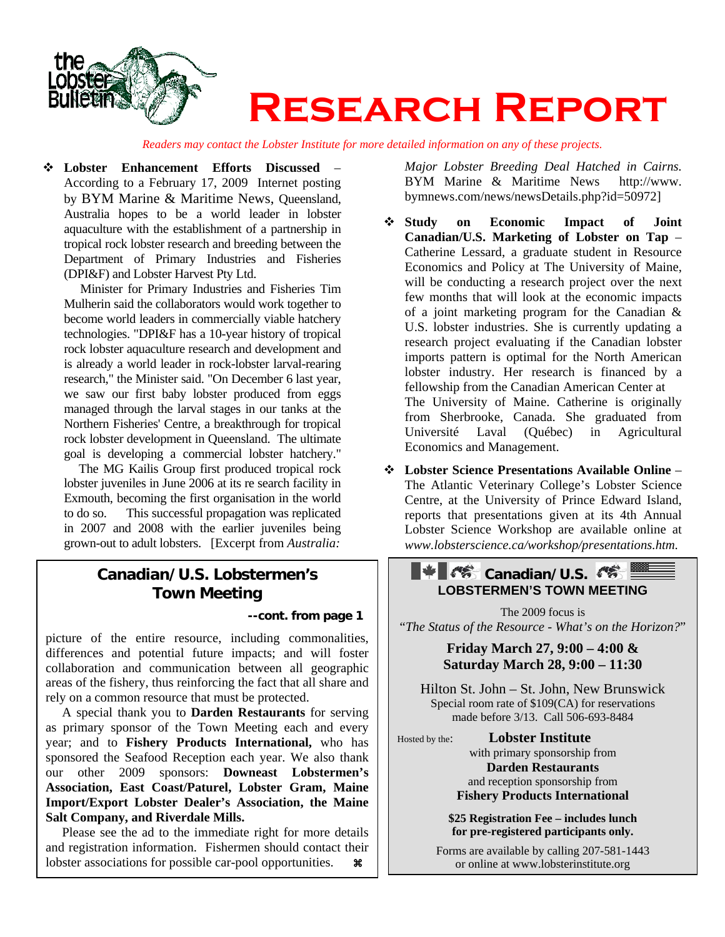

*Readers may contact the Lobster Institute for more detailed information on any of these projects.*

 **Lobster Enhancement Efforts Discussed** – According to a February 17, 2009 Internet posting by BYM Marine & Maritime News, Queensland, Australia hopes to be a world leader in lobster aquaculture with the establishment of a partnership in tropical rock lobster research and breeding between the Department of Primary Industries and Fisheries (DPI&F) and Lobster Harvest Pty Ltd.

Minister for Primary Industries and Fisheries Tim Mulherin said the collaborators would work together to become world leaders in commercially viable hatchery technologies. "DPI&F has a 10-year history of tropical rock lobster aquaculture research and development and is already a world leader in rock-lobster larval-rearing research," the Minister said. "On December 6 last year, we saw our first baby lobster produced from eggs managed through the larval stages in our tanks at the Northern Fisheries' Centre, a breakthrough for tropical rock lobster development in Queensland. The ultimate goal is developing a commercial lobster hatchery."

 The MG Kailis Group first produced tropical rock lobster juveniles in June 2006 at its re search facility in Exmouth, becoming the first organisation in the world to do so. This successful propagation was replicated in 2007 and 2008 with the earlier juveniles being grown-out to adult lobsters. [Excerpt from *Australia:* 

## **Canadian/U.S. Lobstermen's Town Meeting**

### **--cont. from page 1**

picture of the entire resource, including commonalities, differences and potential future impacts; and will foster collaboration and communication between all geographic areas of the fishery, thus reinforcing the fact that all share and rely on a common resource that must be protected.

 A special thank you to **Darden Restaurants** for serving as primary sponsor of the Town Meeting each and every year; and to **Fishery Products International,** who has sponsored the Seafood Reception each year. We also thank our other 2009 sponsors: **Downeast Lobstermen's Association, East Coast/Paturel, Lobster Gram, Maine Import/Export Lobster Dealer's Association, the Maine Salt Company, and Riverdale Mills.** 

 Please see the ad to the immediate right for more details and registration information. Fishermen should contact their lobster associations for possible car-pool opportunities.  $\mathcal{R}$ 

*Major Lobster Breeding Deal Hatched in Cairns.* BYM Marine & Maritime News http://www. bymnews.com/news/newsDetails.php?id=50972]

- **Study on Economic Impact of Joint Canadian/U.S. Marketing of Lobster on Tap** – Catherine Lessard, a graduate student in Resource Economics and Policy at The University of Maine, will be conducting a research project over the next few months that will look at the economic impacts of a joint marketing program for the Canadian & U.S. lobster industries. She is currently updating a research project evaluating if the Canadian lobster imports pattern is optimal for the North American lobster industry. Her research is financed by a fellowship from the Canadian American Center at The University of Maine. Catherine is originally from Sherbrooke, Canada. She graduated from Université Laval (Québec) in Agricultural Economics and Management.
- **Lobster Science Presentations Available Online** The Atlantic Veterinary College's Lobster Science Centre, at the University of Prince Edward Island, reports that presentations given at its 4th Annual Lobster Science Workshop are available online at *www.lobsterscience.ca/workshop/presentations.htm.*

### **EXECANDISE ASSISTENT LOBSTERMEN'S TOWN MEETING**

The 2009 focus is "*The Status of the Resource - What's on the Horizon?*"

> **Friday March 27, 9:00 – 4:00 & Saturday March 28, 9:00 – 11:30**

Hilton St. John – St. John, New Brunswick Special room rate of \$109(CA) for reservations made before 3/13. Call 506-693-8484

Hosted by the: **Lobster Institute** 

with primary sponsorship from **Darden Restaurants**  and reception sponsorship from **Fishery Products International** 

**\$25 Registration Fee – includes lunch for pre-registered participants only.**

Forms are available by calling 207-581-1443 or online at www.lobsterinstitute.org